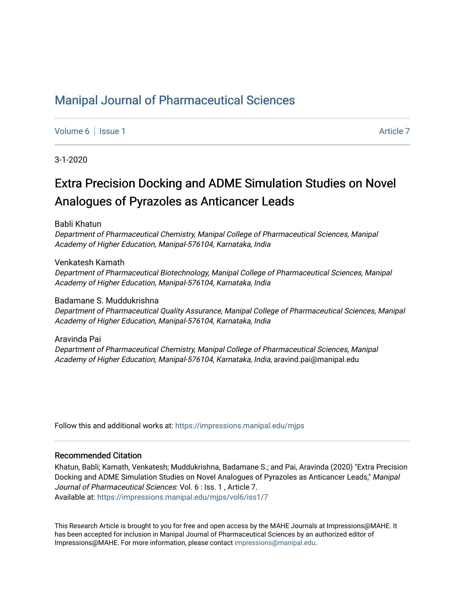# [Manipal Journal of Pharmaceutical Sciences](https://impressions.manipal.edu/mjps)

[Volume 6](https://impressions.manipal.edu/mjps/vol6) | [Issue 1](https://impressions.manipal.edu/mjps/vol6/iss1) Article 7

3-1-2020

# Extra Precision Docking and ADME Simulation Studies on Novel Analogues of Pyrazoles as Anticancer Leads

Babli Khatun

Department of Pharmaceutical Chemistry, Manipal College of Pharmaceutical Sciences, Manipal Academy of Higher Education, Manipal-576104, Karnataka, India

Venkatesh Kamath Department of Pharmaceutical Biotechnology, Manipal College of Pharmaceutical Sciences, Manipal Academy of Higher Education, Manipal-576104, Karnataka, India

Badamane S. Muddukrishna Department of Pharmaceutical Quality Assurance, Manipal College of Pharmaceutical Sciences, Manipal Academy of Higher Education, Manipal-576104, Karnataka, India

Aravinda Pai Department of Pharmaceutical Chemistry, Manipal College of Pharmaceutical Sciences, Manipal Academy of Higher Education, Manipal-576104, Karnataka, India, aravind.pai@manipal.edu

Follow this and additional works at: [https://impressions.manipal.edu/mjps](https://impressions.manipal.edu/mjps?utm_source=impressions.manipal.edu%2Fmjps%2Fvol6%2Fiss1%2F7&utm_medium=PDF&utm_campaign=PDFCoverPages)

#### Recommended Citation

Khatun, Babli; Kamath, Venkatesh; Muddukrishna, Badamane S.; and Pai, Aravinda (2020) "Extra Precision Docking and ADME Simulation Studies on Novel Analogues of Pyrazoles as Anticancer Leads," Manipal Journal of Pharmaceutical Sciences: Vol. 6 : Iss. 1 , Article 7. Available at: [https://impressions.manipal.edu/mjps/vol6/iss1/7](https://impressions.manipal.edu/mjps/vol6/iss1/7?utm_source=impressions.manipal.edu%2Fmjps%2Fvol6%2Fiss1%2F7&utm_medium=PDF&utm_campaign=PDFCoverPages)

This Research Article is brought to you for free and open access by the MAHE Journals at Impressions@MAHE. It has been accepted for inclusion in Manipal Journal of Pharmaceutical Sciences by an authorized editor of Impressions@MAHE. For more information, please contact [impressions@manipal.edu](mailto:impressions@manipal.edu).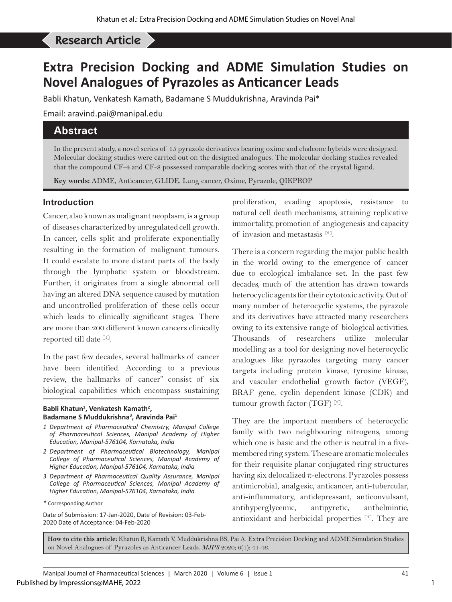# Khatun B *et al*: Extra Precision Docking and ADME Simulation Studies on Novel Analogues of Pyrazoles... Research Article

# **Extra Precision Docking and ADME Simulation Studies on Novel Analogues of Pyrazoles as Anticancer Leads**

Babli Khatun, Venkatesh Kamath, Badamane S Muddukrishna, Aravinda Pai\*

Email: aravind.pai@manipal.edu

# **Abstract**

In the present study, a novel series of 15 pyrazole derivatives bearing oxime and chalcone hybrids were designed. Molecular docking studies were carried out on the designed analogues. The molecular docking studies revealed that the compound CF-4 and CF-8 possessed comparable docking scores with that of the crystal ligand.

**Key words:** ADME, Anticancer, GLIDE, Lung cancer, Oxime, Pyrazole, QIKPROP

## **Introduction**

Cancer, also known as malignant neoplasm, is a group of diseases characterized by unregulated cell growth. In cancer, cells split and proliferate exponentially resulting in the formation of malignant tumours. It could escalate to more distant parts of the body through the lymphatic system or bloodstream. Further, it originates from a single abnormal cell having an altered DNA sequence caused by mutation and uncontrolled proliferation of these cells occur which leads to clinically significant stages. There are more than 200 different known cancers clinically reported till date [1].

In the past few decades, several hallmarks of cancer have been identified. According to a previous review, the hallmarks of cancer" consist of six biological capabilities which encompass sustaining

#### Babli Khatun<sup>1</sup>, Venkatesh Kamath<sup>2</sup>, **Badamane S Muddukrishna3 , Aravinda Pai1**

- *1 Department of Pharmaceutical Chemistry, Manipal College of Pharmaceutical Sciences, Manipal Academy of Higher Education, Manipal-576104, Karnataka, India*
- *2 Department of Pharmaceutical Biotechnology, Manipal College of Pharmaceutical Sciences, Manipal Academy of Higher Education, Manipal-576104, Karnataka, India*
- *3 Department of Pharmaceutical Quality Assurance, Manipal College of Pharmaceutical Sciences, Manipal Academy of Higher Education, Manipal-576104, Karnataka, India*

Date of Submission: 17-Jan-2020, Date of Revision: 03-Feb-2020 Date of Acceptance: 04-Feb-2020

proliferation, evading apoptosis, resistance to natural cell death mechanisms, attaining replicative immortality, promotion of angiogenesis and capacity of invasion and metastasis [2].

There is a concern regarding the major public health in the world owing to the emergence of cancer due to ecological imbalance set. In the past few decades, much of the attention has drawn towards heterocyclic agents for their cytotoxic activity. Out of many number of heterocyclic systems, the pyrazole and its derivatives have attracted many researchers owing to its extensive range of biological activities. Thousands of researchers utilize molecular modelling as a tool for designing novel heterocyclic analogues like pyrazoles targeting many cancer targets including protein kinase, tyrosine kinase, and vascular endothelial growth factor (VEGF), BRAF gene, cyclin dependent kinase (CDK) and tumour growth factor (TGF)  $^{[3]}$ .

They are the important members of heterocyclic family with two neighbouring nitrogens, among which one is basic and the other is neutral in a fivemembered ring system. These are aromatic molecules for their requisite planar conjugated ring structures having six delocalized  $\pi$ -electrons. Pyrazoles possess antimicrobial, analgesic, anticancer, anti-tubercular, anti-inflammatory, antidepressant, anticonvulsant, antihyperglycemic, antipyretic, anthelmintic, antioxidant and herbicidal properties [4]. They are

**How to cite this article:** Khatun B, Kamath V, Muddukrishna BS, Pai A. Extra Precision Docking and ADME Simulation Studies on Novel Analogues of Pyrazoles as Anticancer Leads. *MJPS* 2020; 6(1): 41-46.

*<sup>\*</sup>* Corresponding Author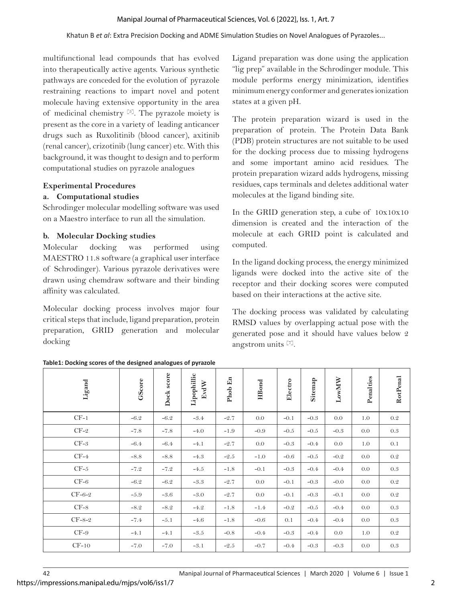multifunctional lead compounds that has evolved into therapeutically active agents. Various synthetic pathways are conceded for the evolution of pyrazole restraining reactions to impart novel and potent molecule having extensive opportunity in the area of medicinal chemistry  $[5]$ . The pyrazole moiety is present as the core in a variety of leading anticancer drugs such as Ruxolitinib (blood cancer), axitinib (renal cancer), crizotinib (lung cancer) etc. With this background, it was thought to design and to perform computational studies on pyrazole analogues

### **Experimental Procedures**

### **a. Computational studies**

Schrodinger molecular modelling software was used on a Maestro interface to run all the simulation.

### **b. Molecular Docking studies**

Molecular docking was performed using MAESTRO 11.8 software (a graphical user interface of Schrodinger). Various pyrazole derivatives were drawn using chemdraw software and their binding affinity was calculated.

Molecular docking process involves major four critical steps that include, ligand preparation, protein preparation, GRID generation and molecular docking

Ligand preparation was done using the application "lig prep" available in the Schrodinger module. This module performs energy minimization, identifies minimum energy conformer and generates ionization states at a given pH.

The protein preparation wizard is used in the preparation of protein. The Protein Data Bank (PDB) protein structures are not suitable to be used for the docking process due to missing hydrogens and some important amino acid residues. The protein preparation wizard adds hydrogens, missing residues, caps terminals and deletes additional water molecules at the ligand binding site.

In the GRID generation step, a cube of 10x10x10 dimension is created and the interaction of the molecule at each GRID point is calculated and computed.

In the ligand docking process, the energy minimized ligands were docked into the active site of the receptor and their docking scores were computed based on their interactions at the active site.

The docking process was validated by calculating RMSD values by overlapping actual pose with the generated pose and it should have values below 2 angstrom units [7].

| Ligand   | GScore | Dock score | Lipophillic<br>EvdW | Phob En | <b>HBond</b> | Electro | Sitemap | LowMW  | Penalties | RotPenal |
|----------|--------|------------|---------------------|---------|--------------|---------|---------|--------|-----------|----------|
| $CF-1$   | $-6.2$ | $-6.2$     | $-3.4$              | $-2.7$  | 0.0          | $-0.1$  | $-0.3$  | 0.0    | 1.0       | $0.2\,$  |
| $CF-2$   | $-7.8$ | $-7.8$     | $-4.0$              | $-1.9$  | $-0.9$       | $-0.5$  | $-0.5$  | $-0.3$ | 0.0       | $0.3\,$  |
| $CF-3$   | $-6.4$ | $-6.4$     | $-4.1$              | $-2.7$  | 0.0          | $-0.3$  | $-0.4$  | 0.0    | 1.0       | 0.1      |
| $CF-4$   | $-8.8$ | $-8.8$     | $-4.3$              | $-2.5$  | $-1.0$       | $-0.6$  | $-0.5$  | $-0.2$ | 0.0       | $0.2\,$  |
| $CF-5$   | $-7.2$ | $-7.2$     | $-4.5$              | $-1.8$  | $-0.1$       | $-0.3$  | $-0.4$  | $-0.4$ | 0.0       | 0.3      |
| $CF-6$   | $-6.2$ | $-6.2$     | $-3.3$              | $-2.7$  | 0.0          | $-0.1$  | $-0.3$  | $-0.0$ | 0.0       | $0.2\,$  |
| $CF-6-2$ | $-5.9$ | $-3.6$     | $-3.0$              | $-2.7$  | 0.0          | $-0.1$  | $-0.3$  | $-0.1$ | 0.0       | $0.2\,$  |
| $CF-8$   | $-8.2$ | $-8.2$     | $-4.2$              | $-1.8$  | $-1.4$       | $-0.2$  | $-0.5$  | $-0.4$ | 0.0       | 0.3      |
| $CF-8-2$ | $-7.4$ | $-5.1$     | $-4.6$              | $-1.8$  | $-0.6$       | 0.1     | $-0.4$  | $-0.4$ | 0.0       | $0.3\,$  |
| $CF-9$   | $-4.1$ | $-4.1$     | $-3.5$              | $-0.8$  | $-0.4$       | $-0.3$  | $-0.4$  | 0.0    | 1.0       | 0.2      |
| $CF-10$  | $-7.0$ | $-7.0$     | $-3.1$              | $-2.5$  | $-0.7$       | $-0.4$  | $-0.3$  | $-0.3$ | 0.0       | 0.3      |

**Table1: Docking scores of the designed analogues of pyrazole**

https://impressions.manipal.edu/mjps/vol6/iss1/7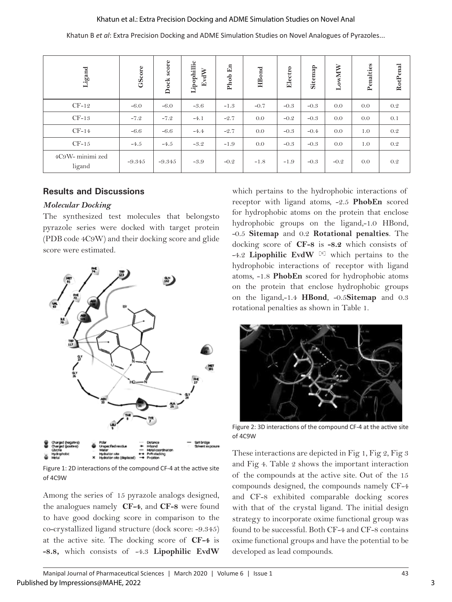#### Khatun et al.: Extra Precision Docking and ADME Simulation Studies on Novel Anal

Khatun B *et al*: Extra Precision Docking and ADME Simulation Studies on Novel Analogues of Pyrazoles...

| Ligand                     | GScore   | score<br>Dock | Lipophillic<br>EvdW | En<br>Phob | <b>HBond</b> | Electro | Sitemap | LowMW  | Penalties | RotPenal |
|----------------------------|----------|---------------|---------------------|------------|--------------|---------|---------|--------|-----------|----------|
| $CF-12$                    | $-6.0$   | $-6.0$        | $-3.6$              | $-1.3$     | $-0.7$       | $-0.3$  | $-0.3$  | 0.0    | 0.0       | 0.2      |
| $CF-13$                    | $-7.2$   | $-7.2$        | $-4.1$              | $-2.7$     | 0.0          | $-0.2$  | $-0.3$  | 0.0    | 0.0       | 0.1      |
| $CF-14$                    | $-6.6$   | $-6.6$        | $-4.4$              | $-2.7$     | 0.0          | $-0.3$  | $-0.4$  | 0.0    | 1.0       | 0.2      |
| $CF-15$                    | $-4.5$   | $-4.5$        | $-3.2$              | $-1.9$     | 0.0          | $-0.3$  | $-0.3$  | 0.0    | 1.0       | 0.2      |
| 4C9W- minimi zed<br>ligand | $-9.345$ | $-9.345$      | $-3.9$              | $-0.2$     | $-1.8$       | $-1.9$  | $-0.3$  | $-0.2$ | 0.0       | 0.2      |

#### **Results and Discussions**

#### *Molecular Docking*

The synthesized test molecules that belongsto pyrazole series were docked with target protein (PDB code 4C9W) and their docking score and glide score were estimated.



Figure 1: 2D interactions of the compound CF-4 at the active site of 4C9W

Among the series of 15 pyrazole analogs designed, the analogues namely **CF-4**, and **CF-8** were found to have good docking score in comparison to the co-crystallized ligand structure (dock score: -9.345) at the active site. The docking score of **CF-4** is **-8.8,** which consists of -4.3 **Lipophilic EvdW** 

which pertains to the hydrophobic interactions of receptor with ligand atoms, -2.5 **PhobEn** scored for hydrophobic atoms on the protein that enclose hydrophobic groups on the ligand,-1.0 HBond, -0.5 **Sitemap** and 0.2 **Rotational penalties**. The docking score of **CF-8** is **-8.2** which consists of -4.2 **Lipophilic EvdW** [8] which pertains to the hydrophobic interactions of receptor with ligand atoms, -1.8 **PhobEn** scored for hydrophobic atoms on the protein that enclose hydrophobic groups on the ligand,-1.4 **HBond**, -0.5**Sitemap** and 0.3 rotational penalties as shown in Table 1.



Figure 2: 3D interactions of the compound CF-4 at the active site of 4C9W

These interactions are depicted in Fig 1, Fig 2, Fig 3 and Fig 4. Table 2 shows the important interaction of the compounds at the active site. Out of the 15 compounds designed, the compounds namely CF-4 and CF-8 exhibited comparable docking scores with that of the crystal ligand. The initial design strategy to incorporate oxime functional group was found to be successful. Both CF-4 and CF-8 contains oxime functional groups and have the potential to be developed as lead compounds.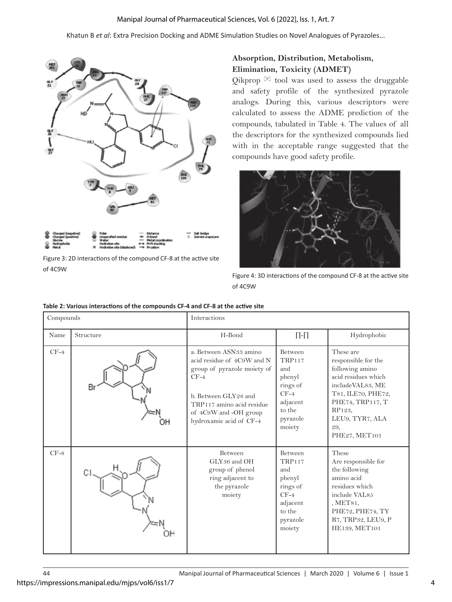#### Manipal Journal of Pharmaceutical Sciences, Vol. 6 [2022], Iss. 1, Art. 7

Khatun B *et al*: Extra Precision Docking and ADME Simulation Studies on Novel Analogues of Pyrazoles...



Figure 3: 2D interactions of the compound CF-8 at the active site of 4C9W

### **Absorption, Distribution, Metabolism, Elimination, Toxicity (ADMET)**

Qikprop  $[9]$  tool was used to assess the druggable and safety profile of the synthesized pyrazole analogs. During this, various descriptors were calculated to assess the ADME prediction of the compounds, tabulated in Table 4. The values of all the descriptors for the synthesized compounds lied with in the acceptable range suggested that the compounds have good safety profile.

![](_page_4_Picture_6.jpeg)

Figure 4: 3D interactions of the compound CF-8 at the active site of 4C9W

| Compounds |           | Interactions                                                                                                                                                                                           |                                                                                                                    |                                                                                                                                                                                               |  |  |  |
|-----------|-----------|--------------------------------------------------------------------------------------------------------------------------------------------------------------------------------------------------------|--------------------------------------------------------------------------------------------------------------------|-----------------------------------------------------------------------------------------------------------------------------------------------------------------------------------------------|--|--|--|
| Name      | Structure | H-Bond                                                                                                                                                                                                 | $\Pi$ - $\Pi$                                                                                                      | Hydrophobic                                                                                                                                                                                   |  |  |  |
| $CF-4$    | Br        | a. Between ASN33 amino<br>acid residue of 4C9W and N<br>group of pyrazole moiety of<br>$CF-4$<br>b. Between GLY28 and<br>TRP117 amino acid residue<br>of 4C9W and -OH group<br>hydroxamic acid of CF-4 | <b>Between</b><br><b>TRP117</b><br>and<br>phenyl<br>rings of<br>$CF-4$<br>adjacent<br>to the<br>pyrazole<br>moiety | These are<br>responsible for the<br>following amino<br>acid residues which<br>includeVAL83, ME<br>T81, ILE70, PHE72,<br>PHE74, TRP117, T<br>RP123,<br>LEU9, TYR7, ALA<br>29,<br>PHE27, MET101 |  |  |  |
| $CF-8$    |           | <b>Between</b><br>GLY36 and OH<br>group of phenol<br>ring adjacent to<br>the pyrazole<br>moiety                                                                                                        | Between<br><b>TRP117</b><br>and<br>phenyl<br>rings of<br>$CF-4$<br>adjacent<br>to the<br>pyrazole<br>moiety        | These<br>Are responsible for<br>the following<br>amino acid<br>residues which<br>include VAL85<br>MET81<br>PHE72, PHE74, TY<br>R7, TRP32, LEU9, P<br>HE139, MET101                            |  |  |  |

| Table 2: Various interactions of the compounds CF-4 and CF-8 at the active site |  |
|---------------------------------------------------------------------------------|--|
|---------------------------------------------------------------------------------|--|

https://impressions.manipal.edu/mjps/vol6/iss1/7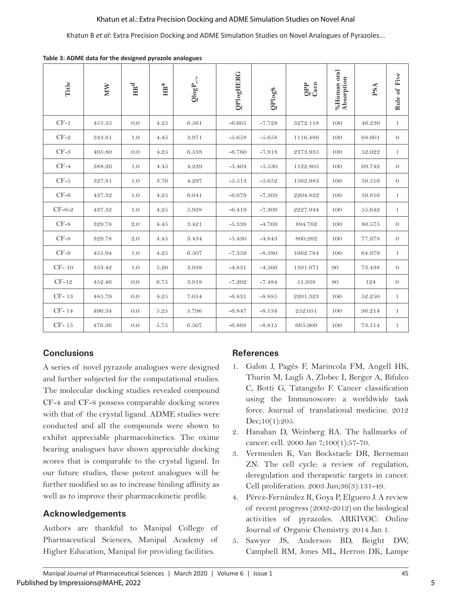#### Khatun et al.: Extra Precision Docking and ADME Simulation Studies on Novel Anal

Khatun B *et al*: Extra Precision Docking and ADME Simulation Studies on Novel Analogues of Pyrazoles...

| Title    | <b>MM</b> | $\mathbb{H}^{\operatorname{d}}$ | $\mathrm{HB}^\mathrm{a}$ | $\mathrm{Qlog} \mathbf{P}_{\mathrm{o/w}}$ | <b>QPlogHERG</b> | QPlogS   | QPP<br>Caco | %Human oral<br>Absorption | PSA    | Rule of Five |
|----------|-----------|---------------------------------|--------------------------|-------------------------------------------|------------------|----------|-------------|---------------------------|--------|--------------|
| $CF-1$   | 451.35    | 0.0                             | 4.25                     | 6.561                                     | $-6.605$         | $-7.728$ | 3272.118    | 100                       | 46.236 | $\mathbf{1}$ |
| $CF-2$   | 343.81    | 1.0                             | 4.45                     | 3.971                                     | $-5.658$         | $-5.658$ | 1116.486    | 100                       | 68.601 | $\theta$     |
| $CF-3$   | 495.80    | 0.0                             | 4.25                     | 6.538                                     | $-6.760$         | $-7.918$ | 2373.935    | 100                       | 52.022 | $\mathbf{1}$ |
| $CF-4$   | 388.26    | 1.0                             | 4.45                     | 4.239                                     | $-5.404$         | $-5.530$ | 1122.805    | 100                       | 69.742 | $\theta$     |
| $CF-5$   | 327.81    | 1.0                             | 3.70                     | 4.297                                     | $-5.513$         | $-5.652$ | 1562.983    | 100                       | 59.516 | $\theta$     |
| $CF-6$   | 437.32    | 1.0                             | $4.25\,$                 | 6.041                                     | $-6.679$         | $-7.369$ | 2204.822    | 100                       | 59.816 | 1            |
| $CF-6-2$ | 437.32    | 1.0                             | 4.25                     | 5.928                                     | $-6.419$         | $-7.309$ | 2227.944    | 100                       | 55.642 | $\mathbf{1}$ |
| $CF-8$   | 329.78    | 2.0                             | 4.45                     | 3.421                                     | $-5.339$         | $-4.769$ | 894.762     | 100                       | 80.575 | $\theta$     |
| $CF-8$   | 329.78    | 2.0                             | 4.45                     | 3.434                                     | $-5.430$         | $-4.843$ | 860.262     | 100                       | 77.978 | $\theta$     |
| $CF-9$   | 455.94    | 1.0                             | 4.25                     | 6.507                                     | $-7.359$         | $-8.380$ | 1662.784    | 100                       | 64.979 | $\mathbf{1}$ |
| $CF-10$  | 353.42    | 1.0                             | 5.20                     | 3.938                                     | $-4.831$         | $-4.566$ | 1391.971    | 90                        | 73.438 | $\Omega$     |
| $CF-12$  | 452.46    | 0.0                             | 6.75                     | 3.918                                     | $-7.202$         | $-7.484$ | 51.938      | 80                        | 124    | $\theta$     |
| $CF-13$  | 485.79    | 0.0                             | 4.25                     | 7.054                                     | $-6.831$         | $-8.885$ | 2201.323    | 100                       | 52.250 | $\mathbf{1}$ |
| $CF-14$  | 496.34    | 0.0                             | 5.25                     | 5.796                                     | $-6.847$         | $-8.134$ | 252.051     | 100                       | 96.214 | $\mathbf{1}$ |
| $CF-15$  | 476.36    | 0.0                             | $5.75\,$                 | 6.507                                     | $-6.868$         | $-8.815$ | 665.909     | 100                       | 73.514 | $\mathbf{1}$ |

**Table 3: ADME data for the designed pyrazole analogues**

# **Conclusions**

A series of novel pyrazole analogues were designed and further subjected for the computational studies. The molecular docking studies revealed compound CF-4 and CF-8 possess comparable docking scores with that of the crystal ligand. ADME studies were conducted and all the compounds were shown to exhibit appreciable pharmacokinetics. The oxime bearing analogues have shown appreciable docking scores that is comparable to the crystal ligand. In our future studies, these potent analogues will be further modified so as to increase binding affinity as well as to improve their pharmacokinetic profile.

## **Acknowledgements**

Authors are thankful to Manipal College of Pharmaceutical Sciences, Manipal Academy of Higher Education, Manipal for providing facilities.

## **References**

- 1. Galon J, Pagès F, Marincola FM, Angell HK, Thurin M, Lugli A, Zlobec I, Berger A, Bifulco C, Botti G, Tatangelo F. Cancer classification using the Immunoscore: a worldwide task force. Journal of translational medicine. 2012 Dec;10(1):205.
- 2. Hanahan D, Weinberg RA. The hallmarks of cancer. cell. 2000 Jan 7;100(1):57-70.
- 3. Vermeulen K, Van Bockstaele DR, Berneman ZN. The cell cycle: a review of regulation, deregulation and therapeutic targets in cancer. Cell proliferation. 2003 Jun;36(3):131-49.
- 4. Pérez-Fernández R, Goya P, Elguero J. A review of recent progress (2002-2012) on the biological activities of pyrazoles. ARKIVOC: Online Journal of Organic Chemistry. 2014 Jan 1.
- 5. Sawyer JS, Anderson BD, Beight DW, Campbell RM, Jones ML, Herron DK, Lampe